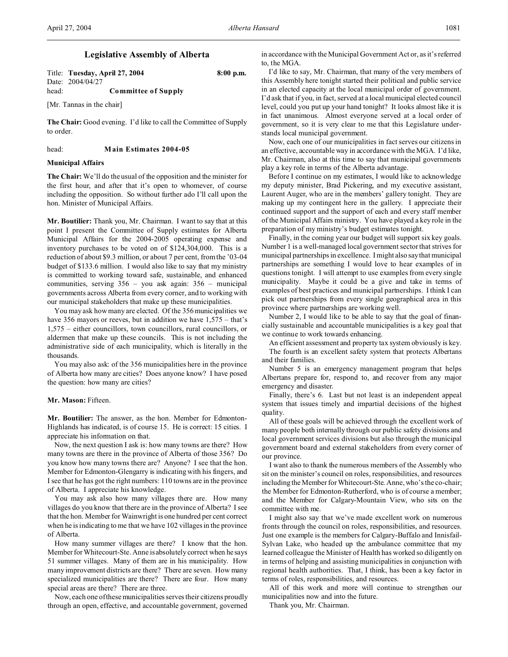# **Legislative Assembly of Alberta**

Title: **Tuesday, April 27, 2004 8:00 p.m.** Date: 2004/04/27 head: **Committee of Supply**

[Mr. Tannas in the chair]

**The Chair:** Good evening. I'd like to call the Committee of Supply to order.

head: **Main Estimates 2004-05**

## **Municipal Affairs**

**The Chair:** We'll do the usual of the opposition and the minister for the first hour, and after that it's open to whomever, of course including the opposition. So without further ado I'll call upon the hon. Minister of Municipal Affairs.

**Mr. Boutilier:** Thank you, Mr. Chairman. I want to say that at this point I present the Committee of Supply estimates for Alberta Municipal Affairs for the 2004-2005 operating expense and inventory purchases to be voted on of \$124,304,000. This is a reduction of about \$9.3 million, or about 7 per cent, from the '03-04 budget of \$133.6 million. I would also like to say that my ministry is committed to working toward safe, sustainable, and enhanced communities, serving 356 – you ask again: 356 – municipal governments across Alberta from every corner, and to working with our municipal stakeholders that make up these municipalities.

You may ask how many are elected. Of the 356 municipalities we have 356 mayors or reeves, but in addition we have  $1,575$  – that's 1,575 – either councillors, town councillors, rural councillors, or aldermen that make up these councils. This is not including the administrative side of each municipality, which is literally in the thousands.

You may also ask: of the 356 municipalities here in the province of Alberta how many are cities? Does anyone know? I have posed the question: how many are cities?

## **Mr. Mason:** Fifteen.

**Mr. Boutilier:** The answer, as the hon. Member for Edmonton-Highlands has indicated, is of course 15. He is correct: 15 cities. I appreciate his information on that.

Now, the next question I ask is: how many towns are there? How many towns are there in the province of Alberta of those 356? Do you know how many towns there are? Anyone? I see that the hon. Member for Edmonton-Glengarry is indicating with his fingers, and I see that he has got the right numbers: 110 towns are in the province of Alberta. I appreciate his knowledge.

You may ask also how many villages there are. How many villages do you know that there are in the province of Alberta? I see that the hon. Member for Wainwright is one hundred per cent correct when he is indicating to me that we have 102 villages in the province of Alberta.

How many summer villages are there? I know that the hon. Member for Whitecourt-Ste. Anne is absolutely correct when he says 51 summer villages. Many of them are in his municipality. How many improvement districts are there? There are seven. How many specialized municipalities are there? There are four. How many special areas are there? There are three.

Now, each one of these municipalities serves their citizens proudly through an open, effective, and accountable government, governed in accordance with the Municipal Government Act or, as it's referred to, the MGA.

I'd like to say, Mr. Chairman, that many of the very members of this Assembly here tonight started their political and public service in an elected capacity at the local municipal order of government. I'd ask that if you, in fact, served at a local municipal elected council level, could you put up your hand tonight? It looks almost like it is in fact unanimous. Almost everyone served at a local order of government, so it is very clear to me that this Legislature understands local municipal government.

Now, each one of our municipalities in fact serves our citizens in an effective, accountable way in accordance with the MGA. I'd like, Mr. Chairman, also at this time to say that municipal governments play a key role in terms of the Alberta advantage.

Before I continue on my estimates, I would like to acknowledge my deputy minister, Brad Pickering, and my executive assistant, Laurent Auger, who are in the members' gallery tonight. They are making up my contingent here in the gallery. I appreciate their continued support and the support of each and every staff member of the Municipal Affairs ministry. You have played a key role in the preparation of my ministry's budget estimates tonight.

Finally, in the coming year our budget will support six key goals. Number 1 is a well-managed local government sector that strives for municipal partnerships in excellence. I might also say that municipal partnerships are something I would love to hear examples of in questions tonight. I will attempt to use examples from every single municipality. Maybe it could be a give and take in terms of examples of best practices and municipal partnerships. I think I can pick out partnerships from every single geographical area in this province where partnerships are working well.

Number 2, I would like to be able to say that the goal of financially sustainable and accountable municipalities is a key goal that we continue to work towards enhancing.

An efficient assessment and property tax system obviously is key. The fourth is an excellent safety system that protects Albertans and their families.

Number 5 is an emergency management program that helps Albertans prepare for, respond to, and recover from any major emergency and disaster.

Finally, there's 6. Last but not least is an independent appeal system that issues timely and impartial decisions of the highest quality.

All of these goals will be achieved through the excellent work of many people both internally through our public safety divisions and local government services divisions but also through the municipal government board and external stakeholders from every corner of our province.

I want also to thank the numerous members of the Assembly who sit on the minister's council on roles, responsibilities, and resources including the Member for Whitecourt-Ste. Anne, who's the co-chair; the Member for Edmonton-Rutherford, who is of course a member; and the Member for Calgary-Mountain View, who sits on the committee with me.

I might also say that we've made excellent work on numerous fronts through the council on roles, responsibilities, and resources. Just one example is the members for Calgary-Buffalo and Innisfail-Sylvan Lake, who headed up the ambulance committee that my learned colleague the Minister of Health has worked so diligently on in terms of helping and assisting municipalities in conjunction with regional health authorities. That, I think, has been a key factor in terms of roles, responsibilities, and resources.

All of this work and more will continue to strengthen our municipalities now and into the future.

Thank you, Mr. Chairman.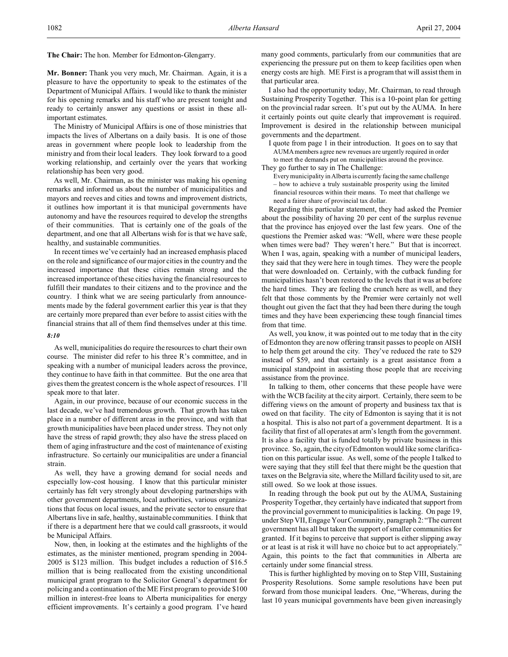**Mr. Bonner:** Thank you very much, Mr. Chairman. Again, it is a pleasure to have the opportunity to speak to the estimates of the Department of Municipal Affairs. I would like to thank the minister for his opening remarks and his staff who are present tonight and ready to certainly answer any questions or assist in these allimportant estimates.

The Ministry of Municipal Affairs is one of those ministries that impacts the lives of Albertans on a daily basis. It is one of those areas in government where people look to leadership from the ministry and from their local leaders. They look forward to a good working relationship, and certainly over the years that working relationship has been very good.

As well, Mr. Chairman, as the minister was making his opening remarks and informed us about the number of municipalities and mayors and reeves and cities and towns and improvement districts, it outlines how important it is that municipal governments have autonomy and have the resources required to develop the strengths of their communities. That is certainly one of the goals of the department, and one that all Albertans wish for is that we have safe, healthy, and sustainable communities.

In recent times we've certainly had an increased emphasis placed on the role and significance of our major cities in the country and the increased importance that these cities remain strong and the increased importance of these cities having the financial resources to fulfill their mandates to their citizens and to the province and the country. I think what we are seeing particularly from announcements made by the federal government earlier this year is that they are certainly more prepared than ever before to assist cities with the financial strains that all of them find themselves under at this time.

#### *8:10*

As well, municipalities do require the resources to chart their own course. The minister did refer to his three R's committee, and in speaking with a number of municipal leaders across the province, they continue to have faith in that committee. But the one area that gives them the greatest concern is the whole aspect of resources. I'll speak more to that later.

Again, in our province, because of our economic success in the last decade, we've had tremendous growth. That growth has taken place in a number of different areas in the province, and with that growth municipalities have been placed under stress. They not only have the stress of rapid growth; they also have the stress placed on them of aging infrastructure and the cost of maintenance of existing infrastructure. So certainly our municipalities are under a financial strain.

As well, they have a growing demand for social needs and especially low-cost housing. I know that this particular minister certainly has felt very strongly about developing partnerships with other government departments, local authorities, various organizations that focus on local issues, and the private sector to ensure that Albertans live in safe, healthy, sustainable communities. I think that if there is a department here that we could call grassroots, it would be Municipal Affairs.

Now, then, in looking at the estimates and the highlights of the estimates, as the minister mentioned, program spending in 2004- 2005 is \$123 million. This budget includes a reduction of \$16.5 million that is being reallocated from the existing unconditional municipal grant program to the Solicitor General's department for policing and a continuation of the ME First program to provide \$100 million in interest-free loans to Alberta municipalities for energy efficient improvements. It's certainly a good program. I've heard many good comments, particularly from our communities that are experiencing the pressure put on them to keep facilities open when energy costs are high. ME First is a program that will assist them in that particular area.

I also had the opportunity today, Mr. Chairman, to read through Sustaining Prosperity Together. This is a 10-point plan for getting on the provincial radar screen. It's put out by the AUMA. In here it certainly points out quite clearly that improvement is required. Improvement is desired in the relationship between municipal governments and the department.

I quote from page 1 in their introduction. It goes on to say that AUMA members agree new revenues are urgently required in order to meet the demands put on municipalities around the province. They go further to say in The Challenge:

Every municipality in Alberta is currently facing the same challenge – how to achieve a truly sustainable prosperity using the limited financial resources within their means. To meet that challenge we need a fairer share of provincial tax dollar.

Regarding this particular statement, they had asked the Premier about the possibility of having 20 per cent of the surplus revenue that the province has enjoyed over the last few years. One of the questions the Premier asked was: "Well, where were these people when times were bad? They weren't here." But that is incorrect. When I was, again, speaking with a number of municipal leaders, they said that they were here in tough times. They were the people that were downloaded on. Certainly, with the cutback funding for municipalities hasn't been restored to the levels that it was at before the hard times. They are feeling the crunch here as well, and they felt that those comments by the Premier were certainly not well thought out given the fact that they had been there during the tough times and they have been experiencing these tough financial times from that time.

As well, you know, it was pointed out to me today that in the city of Edmonton they are now offering transit passes to people on AISH to help them get around the city. They've reduced the rate to \$29 instead of \$59, and that certainly is a great assistance from a municipal standpoint in assisting those people that are receiving assistance from the province.

In talking to them, other concerns that these people have were with the WCB facility at the city airport. Certainly, there seem to be differing views on the amount of property and business tax that is owed on that facility. The city of Edmonton is saying that it is not a hospital. This is also not part of a government department. It is a facility that first of all operates at arm's length from the government. It is also a facility that is funded totally by private business in this province. So, again, the city of Edmonton would like some clarification on this particular issue. As well, some of the people I talked to were saying that they still feel that there might be the question that taxes on the Belgravia site, where the Millard facility used to sit, are still owed. So we look at those issues.

In reading through the book put out by the AUMA, Sustaining Prosperity Together, they certainly have indicated that support from the provincial government to municipalities is lacking. On page 19, under Step VII, Engage Your Community, paragraph 2: "The current government has all but taken the support of smaller communities for granted. If it begins to perceive that support is either slipping away or at least is at risk it will have no choice but to act appropriately." Again, this points to the fact that communities in Alberta are certainly under some financial stress.

This is further highlighted by moving on to Step VIII, Sustaining Prosperity Resolutions. Some sample resolutions have been put forward from those municipal leaders. One, "Whereas, during the last 10 years municipal governments have been given increasingly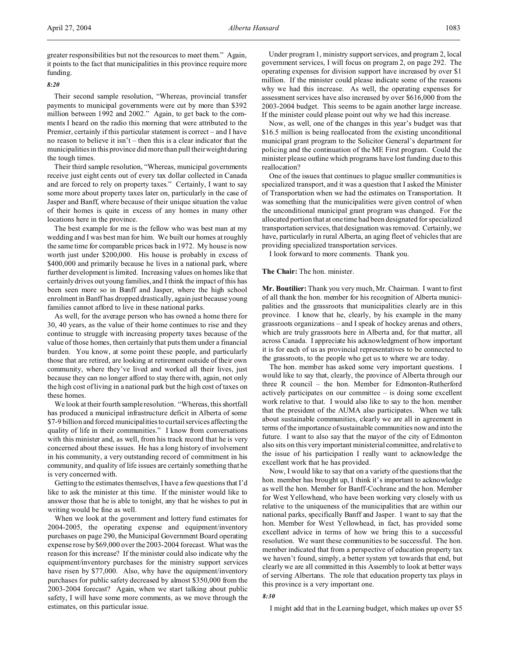greater responsibilities but not the resources to meet them." Again, it points to the fact that municipalities in this province require more funding.

### *8:20*

Their second sample resolution, "Whereas, provincial transfer payments to municipal governments were cut by more than \$392 million between 1992 and 2002." Again, to get back to the comments I heard on the radio this morning that were attributed to the Premier, certainly if this particular statement is correct – and I have no reason to believe it isn't – then this is a clear indicator that the municipalities in this province did more than pull their weight during the tough times.

Their third sample resolution, "Whereas, municipal governments receive just eight cents out of every tax dollar collected in Canada and are forced to rely on property taxes." Certainly, I want to say some more about property taxes later on, particularly in the case of Jasper and Banff, where because of their unique situation the value of their homes is quite in excess of any homes in many other locations here in the province.

The best example for me is the fellow who was best man at my wedding and I was best man for him. We built our homes at roughly the same time for comparable prices back in 1972. My house is now worth just under \$200,000. His house is probably in excess of \$400,000 and primarily because he lives in a national park, where further development is limited. Increasing values on homes like that certainly drives out young families, and I think the impact of this has been seen more so in Banff and Jasper, where the high school enrolment in Banff has dropped drastically, again just because young families cannot afford to live in these national parks.

As well, for the average person who has owned a home there for 30, 40 years, as the value of their home continues to rise and they continue to struggle with increasing property taxes because of the value of those homes, then certainly that puts them under a financial burden. You know, at some point these people, and particularly those that are retired, are looking at retirement outside of their own community, where they've lived and worked all their lives, just because they can no longer afford to stay there with, again, not only the high cost of living in a national park but the high cost of taxes on these homes.

We look at their fourth sample resolution. "Whereas, this shortfall has produced a municipal infrastructure deficit in Alberta of some \$7-9 billion and forced municipalities to curtail services affecting the quality of life in their communities." I know from conversations with this minister and, as well, from his track record that he is very concerned about these issues. He has a long history of involvement in his community, a very outstanding record of commitment in his community, and quality of life issues are certainly something that he is very concerned with.

Getting to the estimates themselves, I have a few questions that I'd like to ask the minister at this time. If the minister would like to answer those that he is able to tonight, any that he wishes to put in writing would be fine as well.

When we look at the government and lottery fund estimates for 2004-2005, the operating expense and equipment/inventory purchases on page 290, the Municipal Government Board operating expense rose by \$69,000 over the 2003-2004 forecast. What was the reason for this increase? If the minister could also indicate why the equipment/inventory purchases for the ministry support services have risen by \$77,000. Also, why have the equipment/inventory purchases for public safety decreased by almost \$350,000 from the 2003-2004 forecast? Again, when we start talking about public safety, I will have some more comments, as we move through the estimates, on this particular issue.

Under program 1, ministry support services, and program 2, local government services, I will focus on program 2, on page 292. The operating expenses for division support have increased by over \$1 million. If the minister could please indicate some of the reasons why we had this increase. As well, the operating expenses for assessment services have also increased by over \$616,000 from the 2003-2004 budget. This seems to be again another large increase. If the minister could please point out why we had this increase.

Now, as well, one of the changes in this year's budget was that \$16.5 million is being reallocated from the existing unconditional municipal grant program to the Solicitor General's department for policing and the continuation of the ME First program. Could the minister please outline which programs have lost funding due to this reallocation?

One of the issues that continues to plague smaller communities is specialized transport, and it was a question that I asked the Minister of Transportation when we had the estimates on Transportation. It was something that the municipalities were given control of when the unconditional municipal grant program was changed. For the allocated portion that at one time had been designated for specialized transportation services, that designation was removed. Certainly, we have, particularly in rural Alberta, an aging fleet of vehicles that are providing specialized transportation services.

I look forward to more comments. Thank you.

# **The Chair:** The hon. minister.

**Mr. Boutilier:** Thank you very much, Mr. Chairman. I want to first of all thank the hon. member for his recognition of Alberta municipalities and the grassroots that municipalities clearly are in this province. I know that he, clearly, by his example in the many grassroots organizations – and I speak of hockey arenas and others, which are truly grassroots here in Alberta and, for that matter, all across Canada. I appreciate his acknowledgment of how important it is for each of us as provincial representatives to be connected to the grassroots, to the people who get us to where we are today.

The hon. member has asked some very important questions. I would like to say that, clearly, the province of Alberta through our three R council – the hon. Member for Edmonton-Rutherford actively participates on our committee – is doing some excellent work relative to that. I would also like to say to the hon. member that the president of the AUMA also participates. When we talk about sustainable communities, clearly we are all in agreement in terms of the importance of sustainable communities now and into the future. I want to also say that the mayor of the city of Edmonton also sits on this very important ministerial committee, and relative to the issue of his participation I really want to acknowledge the excellent work that he has provided.

Now, I would like to say that on a variety of the questions that the hon. member has brought up, I think it's important to acknowledge as well the hon. Member for Banff-Cochrane and the hon. Member for West Yellowhead, who have been working very closely with us relative to the uniqueness of the municipalities that are within our national parks, specifically Banff and Jasper. I want to say that the hon. Member for West Yellowhead, in fact, has provided some excellent advice in terms of how we bring this to a successful resolution. We want these communities to be successful. The hon. member indicated that from a perspective of education property tax we haven't found, simply, a better system yet towards that end, but clearly we are all committed in this Assembly to look at better ways of serving Albertans. The role that education property tax plays in this province is a very important one.

# *8:30*

I might add that in the Learning budget, which makes up over \$5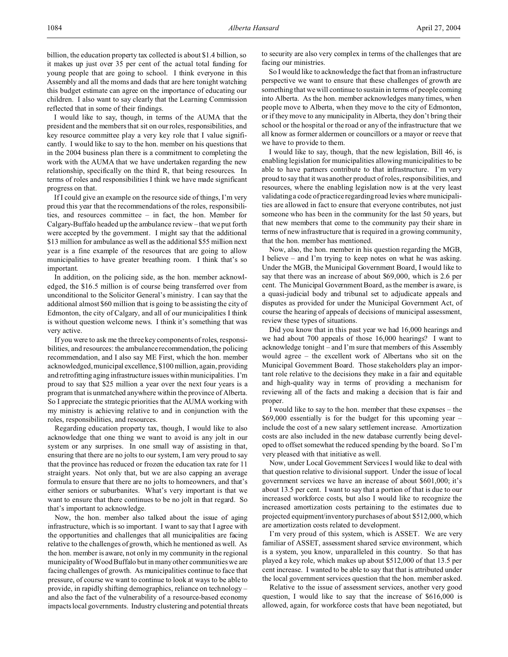billion, the education property tax collected is about \$1.4 billion, so it makes up just over 35 per cent of the actual total funding for young people that are going to school. I think everyone in this Assembly and all the moms and dads that are here tonight watching this budget estimate can agree on the importance of educating our children. I also want to say clearly that the Learning Commission reflected that in some of their findings.

I would like to say, though, in terms of the AUMA that the president and the members that sit on our roles, responsibilities, and key resource committee play a very key role that I value significantly. I would like to say to the hon. member on his questions that in the 2004 business plan there is a commitment to completing the work with the AUMA that we have undertaken regarding the new relationship, specifically on the third R, that being resources. In terms of roles and responsibilities I think we have made significant progress on that.

If I could give an example on the resource side of things, I'm very proud this year that the recommendations of the roles, responsibilities, and resources committee – in fact, the hon. Member for Calgary-Buffalo headed up the ambulance review – that we put forth were accepted by the government. I might say that the additional \$13 million for ambulance as well as the additional \$55 million next year is a fine example of the resources that are going to allow municipalities to have greater breathing room. I think that's so important.

In addition, on the policing side, as the hon. member acknowledged, the \$16.5 million is of course being transferred over from unconditional to the Solicitor General's ministry. I can say that the additional almost \$60 million that is going to be assisting the city of Edmonton, the city of Calgary, and all of our municipalities I think is without question welcome news. I think it's something that was very active.

If you were to ask me the three key components of roles, responsibilities, and resources: the ambulance recommendation, the policing recommendation, and I also say ME First, which the hon. member acknowledged, municipal excellence, \$100 million, again, providing and retrofitting aging infrastructure issues within municipalities. I'm proud to say that \$25 million a year over the next four years is a program that is unmatched anywhere within the province of Alberta. So I appreciate the strategic priorities that the AUMA working with my ministry is achieving relative to and in conjunction with the roles, responsibilities, and resources.

Regarding education property tax, though, I would like to also acknowledge that one thing we want to avoid is any jolt in our system or any surprises. In one small way of assisting in that, ensuring that there are no jolts to our system, I am very proud to say that the province has reduced or frozen the education tax rate for 11 straight years. Not only that, but we are also capping an average formula to ensure that there are no jolts to homeowners, and that's either seniors or suburbanites. What's very important is that we want to ensure that there continues to be no jolt in that regard. So that's important to acknowledge.

Now, the hon. member also talked about the issue of aging infrastructure, which is so important. I want to say that I agree with the opportunities and challenges that all municipalities are facing relative to the challenges of growth, which he mentioned as well. As the hon. member is aware, not only in my community in the regional municipality of Wood Buffalo but in many other communities we are facing challenges of growth. As municipalities continue to face that pressure, of course we want to continue to look at ways to be able to provide, in rapidly shifting demographics, reliance on technology – and also the fact of the vulnerability of a resource-based economy impacts local governments. Industry clustering and potential threats

to security are also very complex in terms of the challenges that are facing our ministries.

So I would like to acknowledge the fact that from an infrastructure perspective we want to ensure that these challenges of growth are something that we will continue to sustain in terms of people coming into Alberta. As the hon. member acknowledges many times, when people move to Alberta, when they move to the city of Edmonton, or if they move to any municipality in Alberta, they don't bring their school or the hospital or the road or any of the infrastructure that we all know as former aldermen or councillors or a mayor or reeve that we have to provide to them.

I would like to say, though, that the new legislation, Bill 46, is enabling legislation for municipalities allowing municipalities to be able to have partners contribute to that infrastructure. I'm very proud to say that it was another product of roles, responsibilities, and resources, where the enabling legislation now is at the very least validating a code of practice regarding road levies where municipalities are allowed in fact to ensure that everyone contributes, not just someone who has been in the community for the last 50 years, but that new members that come to the community pay their share in terms of new infrastructure that is required in a growing community, that the hon. member has mentioned.

Now, also, the hon. member in his question regarding the MGB, I believe – and I'm trying to keep notes on what he was asking. Under the MGB, the Municipal Government Board, I would like to say that there was an increase of about \$69,000, which is 2.6 per cent. The Municipal Government Board, as the member is aware, is a quasi-judicial body and tribunal set to adjudicate appeals and disputes as provided for under the Municipal Government Act, of course the hearing of appeals of decisions of municipal assessment, review these types of situations.

Did you know that in this past year we had 16,000 hearings and we had about 700 appeals of those 16,000 hearings? I want to acknowledge tonight – and I'm sure that members of this Assembly would agree – the excellent work of Albertans who sit on the Municipal Government Board. Those stakeholders play an important role relative to the decisions they make in a fair and equitable and high-quality way in terms of providing a mechanism for reviewing all of the facts and making a decision that is fair and proper.

I would like to say to the hon. member that these expenses – the \$69,000 essentially is for the budget for this upcoming year – include the cost of a new salary settlement increase. Amortization costs are also included in the new database currently being developed to offset somewhat the reduced spending by the board. So I'm very pleased with that initiative as well.

Now, under Local Government Services I would like to deal with that question relative to divisional support. Under the issue of local government services we have an increase of about \$601,000; it's about 13.5 per cent. I want to say that a portion of that is due to our increased workforce costs, but also I would like to recognize the increased amortization costs pertaining to the estimates due to projected equipment/inventory purchases of about \$512,000, which are amortization costs related to development.

I'm very proud of this system, which is ASSET. We are very familiar of ASSET, assessment shared service environment, which is a system, you know, unparalleled in this country. So that has played a key role, which makes up about \$512,000 of that 13.5 per cent increase. I wanted to be able to say that that is attributed under the local government services question that the hon. member asked.

Relative to the issue of assessment services, another very good question, I would like to say that the increase of \$616,000 is allowed, again, for workforce costs that have been negotiated, but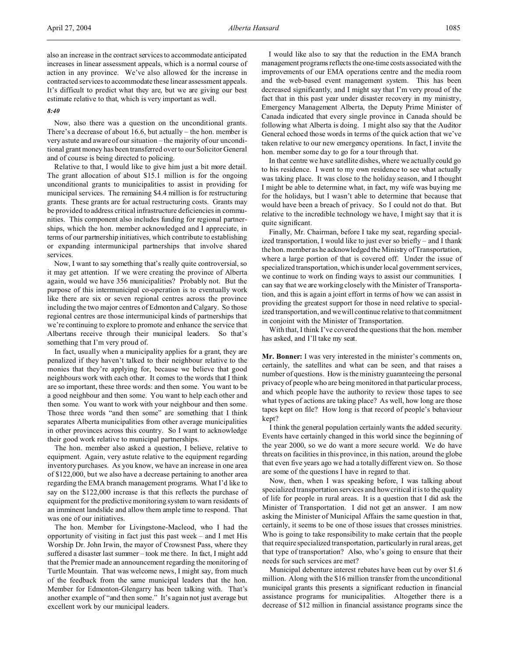### *8:40*

Now, also there was a question on the unconditional grants. There's a decrease of about 16.6, but actually – the hon. member is very astute and aware of our situation – the majority of our unconditional grant money has been transferred over to our Solicitor General and of course is being directed to policing.

Relative to that, I would like to give him just a bit more detail. The grant allocation of about \$15.1 million is for the ongoing unconditional grants to municipalities to assist in providing for municipal services. The remaining \$4.4 million is for restructuring grants. These grants are for actual restructuring costs. Grants may be provided to address critical infrastructure deficiencies in communities. This component also includes funding for regional partnerships, which the hon. member acknowledged and I appreciate, in terms of our partnership initiatives, which contribute to establishing or expanding intermunicipal partnerships that involve shared services.

Now, I want to say something that's really quite controversial, so it may get attention. If we were creating the province of Alberta again, would we have 356 municipalities? Probably not. But the purpose of this intermunicipal co-operation is to eventually work like there are six or seven regional centres across the province including the two major centres of Edmonton and Calgary. So those regional centres are those intermunicipal kinds of partnerships that we're continuing to explore to promote and enhance the service that Albertans receive through their municipal leaders. So that's something that I'm very proud of.

In fact, usually when a municipality applies for a grant, they are penalized if they haven't talked to their neighbour relative to the monies that they're applying for, because we believe that good neighbours work with each other. It comes to the words that I think are so important, these three words: and then some. You want to be a good neighbour and then some. You want to help each other and then some. You want to work with your neighbour and then some. Those three words "and then some" are something that I think separates Alberta municipalities from other average municipalities in other provinces across this country. So I want to acknowledge their good work relative to municipal partnerships.

The hon. member also asked a question, I believe, relative to equipment. Again, very astute relative to the equipment regarding inventory purchases. As you know, we have an increase in one area of \$122,000, but we also have a decrease pertaining to another area regarding the EMA branch management programs. What I'd like to say on the \$122,000 increase is that this reflects the purchase of equipment for the predictive monitoring system to warn residents of an imminent landslide and allow them ample time to respond. That was one of our initiatives.

The hon. Member for Livingstone-Macleod, who I had the opportunity of visiting in fact just this past week – and I met His Worship Dr. John Irwin, the mayor of Crowsnest Pass, where they suffered a disaster last summer – took me there. In fact, I might add that the Premier made an announcement regarding the monitoring of Turtle Mountain. That was welcome news, I might say, from much of the feedback from the same municipal leaders that the hon. Member for Edmonton-Glengarry has been talking with. That's another example of "and then some." It's again not just average but excellent work by our municipal leaders.

I would like also to say that the reduction in the EMA branch management programs reflects the one-time costs associated with the improvements of our EMA operations centre and the media room and the web-based event management system. This has been decreased significantly, and I might say that I'm very proud of the fact that in this past year under disaster recovery in my ministry, Emergency Management Alberta, the Deputy Prime Minister of Canada indicated that every single province in Canada should be following what Alberta is doing. I might also say that the Auditor General echoed those words in terms of the quick action that we've taken relative to our new emergency operations. In fact, I invite the hon. member some day to go for a tour through that.

In that centre we have satellite dishes, where we actually could go to his residence. I went to my own residence to see what actually was taking place. It was close to the holiday season, and I thought I might be able to determine what, in fact, my wife was buying me for the holidays, but I wasn't able to determine that because that would have been a breach of privacy. So I could not do that. But relative to the incredible technology we have, I might say that it is quite significant.

Finally, Mr. Chairman, before I take my seat, regarding specialized transportation, I would like to just ever so briefly – and I thank the hon. member as he acknowledged the Ministry of Transportation, where a large portion of that is covered off. Under the issue of specialized transportation, which is under local government services, we continue to work on finding ways to assist our communities. I can say that we are working closely with the Minister of Transportation, and this is again a joint effort in terms of how we can assist in providing the greatest support for those in need relative to specialized transportation, and we will continue relative to that commitment in conjoint with the Minister of Transportation.

With that, I think I've covered the questions that the hon. member has asked, and I'll take my seat.

**Mr. Bonner:** I was very interested in the minister's comments on, certainly, the satellites and what can be seen, and that raises a number of questions. How is the ministry guaranteeing the personal privacy of people who are being monitored in that particular process, and which people have the authority to review those tapes to see what types of actions are taking place? As well, how long are those tapes kept on file? How long is that record of people's behaviour kept?

I think the general population certainly wants the added security. Events have certainly changed in this world since the beginning of the year 2000, so we do want a more secure world. We do have threats on facilities in this province, in this nation, around the globe that even five years ago we had a totally different view on. So those are some of the questions I have in regard to that.

Now, then, when I was speaking before, I was talking about specialized transportation services and how critical it is to the quality of life for people in rural areas. It is a question that I did ask the Minister of Transportation. I did not get an answer. I am now asking the Minister of Municipal Affairs the same question in that, certainly, it seems to be one of those issues that crosses ministries. Who is going to take responsibility to make certain that the people that require specialized transportation, particularly in rural areas, get that type of transportation? Also, who's going to ensure that their needs for such services are met?

Municipal debenture interest rebates have been cut by over \$1.6 million. Along with the \$16 million transfer from the unconditional municipal grants this presents a significant reduction in financial assistance programs for municipalities. Altogether there is a decrease of \$12 million in financial assistance programs since the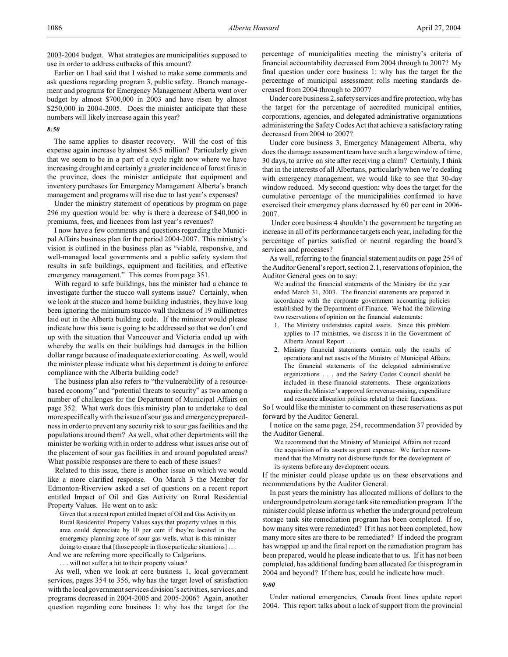2003-2004 budget. What strategies are municipalities supposed to use in order to address cutbacks of this amount?

Earlier on I had said that I wished to make some comments and ask questions regarding program 3, public safety. Branch management and programs for Emergency Management Alberta went over budget by almost \$700,000 in 2003 and have risen by almost \$250,000 in 2004-2005. Does the minister anticipate that these numbers will likely increase again this year?

## *8:50*

The same applies to disaster recovery. Will the cost of this expense again increase by almost \$6.5 million? Particularly given that we seem to be in a part of a cycle right now where we have increasing drought and certainly a greater incidence of forest fires in the province, does the minister anticipate that equipment and inventory purchases for Emergency Management Alberta's branch management and programs will rise due to last year's expenses?

Under the ministry statement of operations by program on page 296 my question would be: why is there a decrease of \$40,000 in premiums, fees, and licences from last year's revenues?

I now have a few comments and questions regarding the Municipal Affairs business plan for the period 2004-2007. This ministry's vision is outlined in the business plan as "viable, responsive, and well-managed local governments and a public safety system that results in safe buildings, equipment and facilities, and effective emergency management." This comes from page 351.

With regard to safe buildings, has the minister had a chance to investigate further the stucco wall systems issue? Certainly, when we look at the stucco and home building industries, they have long been ignoring the minimum stucco wall thickness of 19 millimetres laid out in the Alberta building code. If the minister would please indicate how this issue is going to be addressed so that we don't end up with the situation that Vancouver and Victoria ended up with whereby the walls on their buildings had damages in the billion dollar range because of inadequate exterior coating. As well, would the minister please indicate what his department is doing to enforce compliance with the Alberta building code?

The business plan also refers to "the vulnerability of a resourcebased economy" and "potential threats to security" as two among a number of challenges for the Department of Municipal Affairs on page 352. What work does this ministry plan to undertake to deal more specifically with the issue of sour gas and emergency preparedness in order to prevent any security risk to sour gas facilities and the populations around them? As well, what other departments will the minister be working with in order to address what issues arise out of the placement of sour gas facilities in and around populated areas? What possible responses are there to each of these issues?

Related to this issue, there is another issue on which we would like a more clarified response. On March 3 the Member for Edmonton-Riverview asked a set of questions on a recent report entitled Impact of Oil and Gas Activity on Rural Residential Property Values. He went on to ask:

Given that a recent report entitled Impact of Oil and Gas Activity on Rural Residential Property Values says that property values in this area could depreciate by 10 per cent if they're located in the emergency planning zone of sour gas wells, what is this minister doing to ensure that [those people in those particular situations] . . .

And we are referring more specifically to Calgarians.

. . . will not suffer a hit to their property values?

As well, when we look at core business 1, local government services, pages 354 to 356, why has the target level of satisfaction with the local government services division's activities, services, and programs decreased in 2004-2005 and 2005-2006? Again, another question regarding core business 1: why has the target for the percentage of municipalities meeting the ministry's criteria of financial accountability decreased from 2004 through to 2007? My final question under core business 1: why has the target for the percentage of municipal assessment rolls meeting standards decreased from 2004 through to 2007?

Under core business 2, safety services and fire protection, why has the target for the percentage of accredited municipal entities, corporations, agencies, and delegated administrative organizations administering the Safety Codes Act that achieve a satisfactory rating decreased from 2004 to 2007?

Under core business 3, Emergency Management Alberta, why does the damage assessment team have such a large window of time, 30 days, to arrive on site after receiving a claim? Certainly, I think that in the interests of all Albertans, particularly when we're dealing with emergency management, we would like to see that 30-day window reduced. My second question: why does the target for the cumulative percentage of the municipalities confirmed to have exercised their emergency plans decreased by 60 per cent in 2006- 2007.

 Under core business 4 shouldn't the government be targeting an increase in all of its performance targets each year, including for the percentage of parties satisfied or neutral regarding the board's services and processes?

As well, referring to the financial statement audits on page 254 of the Auditor General's report, section 2.1, reservations of opinion, the Auditor General goes on to say:

We audited the financial statements of the Ministry for the year ended March 31, 2003. The financial statements are prepared in accordance with the corporate government accounting policies established by the Department of Finance. We had the following two reservations of opinion on the financial statements:

- 1. The Ministry understates capital assets. Since this problem applies to 17 ministries, we discuss it in the Government of Alberta Annual Report . . .
- 2. Ministry financial statements contain only the results of operations and net assets of the Ministry of Municipal Affairs. The financial statements of the delegated administrative organizations . . . and the Safety Codes Council should be included in these financial statements. These organizations require the Minister's approval for revenue-raising, expenditure and resource allocation policies related to their functions.

So I would like the minister to comment on these reservations as put forward by the Auditor General.

I notice on the same page, 254, recommendation 37 provided by the Auditor General.

We recommend that the Ministry of Municipal Affairs not record the acquisition of its assets as grant expense. We further recommend that the Ministry not disburse funds for the development of its systems before any development occurs.

If the minister could please update us on these observations and recommendations by the Auditor General.

In past years the ministry has allocated millions of dollars to the underground petroleum storage tank site remediation program. If the minister could please inform us whether the underground petroleum storage tank site remediation program has been completed. If so, how many sites were remediated? If it has not been completed, how many more sites are there to be remediated? If indeed the program has wrapped up and the final report on the remediation program has been prepared, would he please indicate that to us. If it has not been completed, has additional funding been allocated for this program in 2004 and beyond? If there has, could he indicate how much.

### *9:00*

Under national emergencies, Canada front lines update report 2004. This report talks about a lack of support from the provincial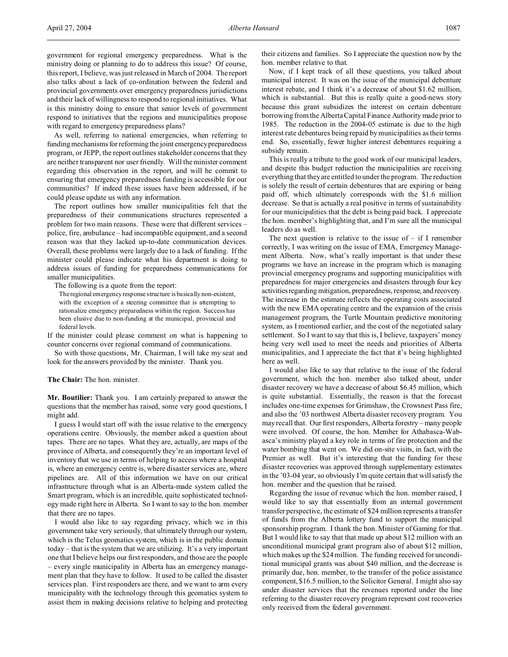government for regional emergency preparedness. What is the ministry doing or planning to do to address this issue? Of course, this report, I believe, was just released in March of 2004. The report also talks about a lack of co-ordination between the federal and provincial governments over emergency preparedness jurisdictions and their lack of willingness to respond to regional initiatives. What is this ministry doing to ensure that senior levels of government respond to initiatives that the regions and municipalities propose with regard to emergency preparedness plans?

As well, referring to national emergencies, when referring to funding mechanisms for reforming the joint emergency preparedness program, or JEPP, the report outlines stakeholder concerns that they are neither transparent nor user friendly. Will the minister comment regarding this observation in the report, and will he commit to ensuring that emergency preparedness funding is accessible for our communities? If indeed these issues have been addressed, if he could please update us with any information.

The report outlines how smaller municipalities felt that the preparedness of their communications structures represented a problem for two main reasons. These were that different services – police, fire, ambulance – had incompatible equipment, and a second reason was that they lacked up-to-date communication devices. Overall, these problems were largely due to a lack of funding. If the minister could please indicate what his department is doing to address issues of funding for preparedness communications for smaller municipalities.

The following is a quote from the report:

The regional emergency response structure is basically non-existent, with the exception of a steering committee that is attempting to rationalize emergency preparedness within the region. Success has been elusive due to non-funding at the municipal, provincial and federal levels.

If the minister could please comment on what is happening to counter concerns over regional command of communications.

So with those questions, Mr. Chairman, I will take my seat and look for the answers provided by the minister. Thank you.

### **The Chair:** The hon. minister.

**Mr. Boutilier:** Thank you. I am certainly prepared to answer the questions that the member has raised, some very good questions, I might add.

I guess I would start off with the issue relative to the emergency operations centre. Obviously, the member asked a question about tapes. There are no tapes. What they are, actually, are maps of the province of Alberta, and consequently they're an important level of inventory that we use in terms of helping to access where a hospital is, where an emergency centre is, where disaster services are, where pipelines are. All of this information we have on our critical infrastructure through what is an Alberta-made system called the Smart program, which is an incredible, quite sophisticated technology made right here in Alberta. So I want to say to the hon. member that there are no tapes.

I would also like to say regarding privacy, which we in this government take very seriously, that ultimately through our system, which is the Telus geomatics system, which is in the public domain today – that is the system that we are utilizing. It's a very important one that I believe helps our first responders, and those are the people – every single municipality in Alberta has an emergency management plan that they have to follow. It used to be called the disaster services plan. First responders are there, and we want to arm every municipality with the technology through this geomatics system to assist them in making decisions relative to helping and protecting

their citizens and families. So I appreciate the question now by the hon. member relative to that.

Now, if I kept track of all these questions, you talked about municipal interest. It was on the issue of the municipal debenture interest rebate, and I think it's a decrease of about \$1.62 million, which is substantial. But this is really quite a good-news story because this grant subsidizes the interest on certain debenture borrowing from the Alberta Capital Finance Authority made prior to 1985. The reduction in the 2004-05 estimate is due to the high interest rate debentures being repaid by municipalities as their terms end. So, essentially, fewer higher interest debentures requiring a subsidy remain.

This is really a tribute to the good work of our municipal leaders, and despite this budget reduction the municipalities are receiving everything that they are entitled to under the program. The reduction is solely the result of certain debentures that are expiring or being paid off, which ultimately corresponds with the \$1.6 million decrease. So that is actually a real positive in terms of sustainability for our municipalities that the debt is being paid back. I appreciate the hon. member's highlighting that, and I'm sure all the municipal leaders do as well.

The next question is relative to the issue of  $-$  if I remember correctly, I was writing on the issue of EMA, Emergency Management Alberta. Now, what's really important is that under these programs we have an increase in the program which is managing provincial emergency programs and supporting municipalities with preparedness for major emergencies and disasters through four key activitiesregarding mitigation, preparedness, response, and recovery. The increase in the estimate reflects the operating costs associated with the new EMA operating centre and the expansion of the crisis management program, the Turtle Mountain predictive monitoring system, as I mentioned earlier, and the cost of the negotiated salary settlement. So I want to say that this is, I believe, taxpayers' money being very well used to meet the needs and priorities of Alberta municipalities, and I appreciate the fact that it's being highlighted here as well.

I would also like to say that relative to the issue of the federal government, which the hon. member also talked about, under disaster recovery we have a decrease of about \$6.45 million, which is quite substantial. Essentially, the reason is that the forecast includes one-time expenses for Grimshaw, the Crowsnest Pass fire, and also the '03 northwest Alberta disaster recovery program. You may recall that. Our first responders, Alberta forestry – many people were involved. Of course, the hon. Member for Athabasca-Wabasca's ministry played a key role in terms of fire protection and the water bombing that went on. We did on-site visits, in fact, with the Premier as well. But it's interesting that the funding for these disaster recoveries was approved through supplementary estimates in the '03-04 year, so obviously I'm quite certain that will satisfy the hon. member and the question that he raised.

Regarding the issue of revenue which the hon. member raised, I would like to say that essentially from an internal government transfer perspective, the estimate of \$24 million represents a transfer of funds from the Alberta lottery fund to support the municipal sponsorship program. I thank the hon. Minister of Gaming for that. But I would like to say that that made up about \$12 million with an unconditional municipal grant program also of about \$12 million, which makes up the \$24 million. The funding received for unconditional municipal grants was about \$40 million, and the decrease is primarily due, hon. member, to the transfer of the police assistance component, \$16.5 million, to the Solicitor General. I might also say under disaster services that the revenues reported under the line referring to the disaster recovery program represent cost recoveries only received from the federal government.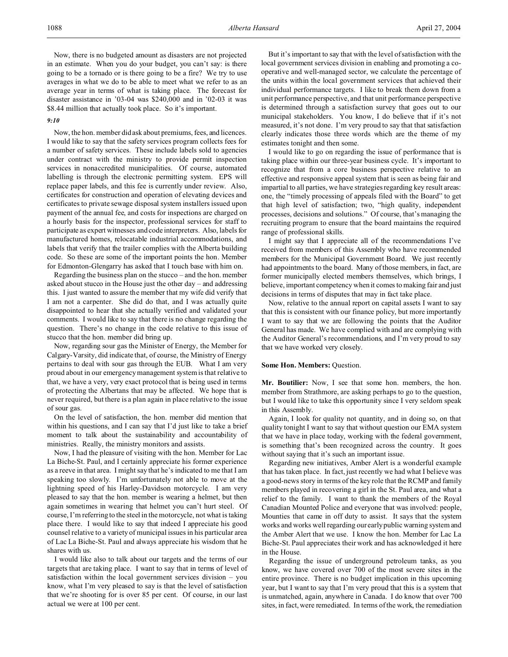Now, there is no budgeted amount as disasters are not projected in an estimate. When you do your budget, you can't say: is there going to be a tornado or is there going to be a fire? We try to use averages in what we do to be able to meet what we refer to as an average year in terms of what is taking place. The forecast for disaster assistance in '03-04 was \$240,000 and in '02-03 it was \$8.44 million that actually took place. So it's important.

### *9:10*

Now, the hon. member did ask about premiums, fees, and licences. I would like to say that the safety services program collects fees for a number of safety services. These include labels sold to agencies under contract with the ministry to provide permit inspection services in nonaccredited municipalities. Of course, automated labelling is through the electronic permitting system. EPS will replace paper labels, and this fee is currently under review. Also, certificates for construction and operation of elevating devices and certificates to private sewage disposal system installers issued upon payment of the annual fee, and costs for inspections are charged on a hourly basis for the inspector, professional services for staff to participate as expert witnesses and code interpreters. Also, labels for manufactured homes, relocatable industrial accommodations, and labels that verify that the trailer complies with the Alberta building code. So these are some of the important points the hon. Member for Edmonton-Glengarry has asked that I touch base with him on.

Regarding the business plan on the stucco – and the hon. member asked about stucco in the House just the other day – and addressing this. I just wanted to assure the member that my wife did verify that I am not a carpenter. She did do that, and I was actually quite disappointed to hear that she actually verified and validated your comments. I would like to say that there is no change regarding the question. There's no change in the code relative to this issue of stucco that the hon. member did bring up.

Now, regarding sour gas the Minister of Energy, the Member for Calgary-Varsity, did indicate that, of course, the Ministry of Energy pertains to deal with sour gas through the EUB. What I am very proud about in our emergency management system is that relative to that, we have a very, very exact protocol that is being used in terms of protecting the Albertans that may be affected. We hope that is never required, but there is a plan again in place relative to the issue of sour gas.

On the level of satisfaction, the hon. member did mention that within his questions, and I can say that I'd just like to take a brief moment to talk about the sustainability and accountability of ministries. Really, the ministry monitors and assists.

Now, I had the pleasure of visiting with the hon. Member for Lac La Biche-St. Paul, and I certainly appreciate his former experience as a reeve in that area. I might say that he's indicated to me that I am speaking too slowly. I'm unfortunately not able to move at the lightning speed of his Harley-Davidson motorcycle. I am very pleased to say that the hon. member is wearing a helmet, but then again sometimes in wearing that helmet you can't hurt steel. Of course, I'm referring to the steel in the motorcycle, not what is taking place there. I would like to say that indeed I appreciate his good counsel relative to a variety of municipal issues in his particular area of Lac La Biche-St. Paul and always appreciate his wisdom that he shares with us.

I would like also to talk about our targets and the terms of our targets that are taking place. I want to say that in terms of level of satisfaction within the local government services division – you know, what I'm very pleased to say is that the level of satisfaction that we're shooting for is over 85 per cent. Of course, in our last actual we were at 100 per cent.

But it's important to say that with the level of satisfaction with the local government services division in enabling and promoting a cooperative and well-managed sector, we calculate the percentage of the units within the local government services that achieved their individual performance targets. I like to break them down from a unit performance perspective, and that unit performance perspective is determined through a satisfaction survey that goes out to our municipal stakeholders. You know, I do believe that if it's not measured, it's not done. I'm very proud to say that that satisfaction clearly indicates those three words which are the theme of my estimates tonight and then some.

I would like to go on regarding the issue of performance that is taking place within our three-year business cycle. It's important to recognize that from a core business perspective relative to an effective and responsive appeal system that is seen as being fair and impartial to all parties, we have strategies regarding key result areas: one, the "timely processing of appeals filed with the Board" to get that high level of satisfaction; two, "high quality, independent processes, decisions and solutions." Of course, that's managing the recruiting program to ensure that the board maintains the required range of professional skills.

I might say that I appreciate all of the recommendations I've received from members of this Assembly who have recommended members for the Municipal Government Board. We just recently had appointments to the board. Many of those members, in fact, are former municipally elected members themselves, which brings, I believe, important competency when it comes to making fair and just decisions in terms of disputes that may in fact take place.

Now, relative to the annual report on capital assets I want to say that this is consistent with our finance policy, but more importantly I want to say that we are following the points that the Auditor General has made. We have complied with and are complying with the Auditor General's recommendations, and I'm very proud to say that we have worked very closely.

### **Some Hon. Members:** Question.

**Mr. Boutilier:** Now, I see that some hon. members, the hon. member from Strathmore, are asking perhaps to go to the question, but I would like to take this opportunity since I very seldom speak in this Assembly.

Again, I look for quality not quantity, and in doing so, on that quality tonight I want to say that without question our EMA system that we have in place today, working with the federal government, is something that's been recognized across the country. It goes without saying that it's such an important issue.

Regarding new initiatives, Amber Alert is a wonderful example that has taken place. In fact, just recently we had what I believe was a good-news story in terms of the key role that the RCMP and family members played in recovering a girl in the St. Paul area, and what a relief to the family. I want to thank the members of the Royal Canadian Mounted Police and everyone that was involved: people, Mounties that came in off duty to assist. It says that the system works and works well regarding our early public warning system and the Amber Alert that we use. I know the hon. Member for Lac La Biche-St. Paul appreciates their work and has acknowledged it here in the House.

Regarding the issue of underground petroleum tanks, as you know, we have covered over 700 of the most severe sites in the entire province. There is no budget implication in this upcoming year, but I want to say that I'm very proud that this is a system that is unmatched, again, anywhere in Canada. I do know that over 700 sites, in fact, were remediated. In terms of the work, the remediation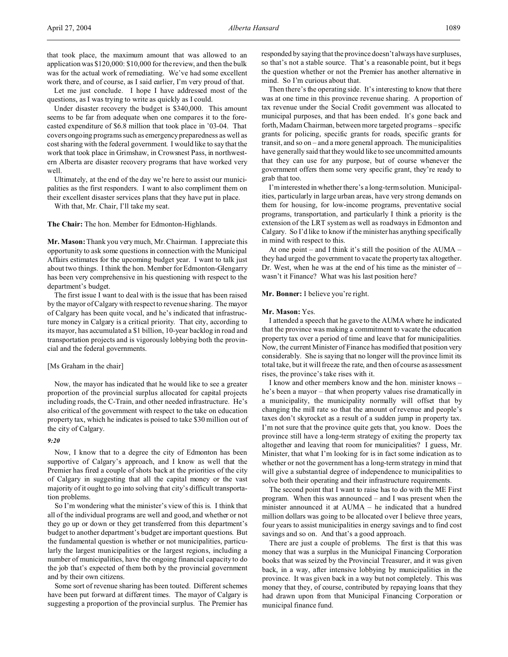that took place, the maximum amount that was allowed to an application was \$120,000: \$10,000 for the review, and then the bulk was for the actual work of remediating. We've had some excellent work there, and of course, as I said earlier, I'm very proud of that.

Let me just conclude. I hope I have addressed most of the questions, as I was trying to write as quickly as I could.

Under disaster recovery the budget is \$340,000. This amount seems to be far from adequate when one compares it to the forecasted expenditure of \$6.8 million that took place in '03-04. That covers ongoing programs such as emergency preparedness as well as cost sharing with the federal government. I would like to say that the work that took place in Grimshaw, in Crowsnest Pass, in northwestern Alberta are disaster recovery programs that have worked very well.

Ultimately, at the end of the day we're here to assist our municipalities as the first responders. I want to also compliment them on their excellent disaster services plans that they have put in place.

With that, Mr. Chair, I'll take my seat.

**The Chair:** The hon. Member for Edmonton-Highlands.

**Mr. Mason:** Thank you very much, Mr. Chairman. I appreciate this opportunity to ask some questions in connection with the Municipal Affairs estimates for the upcoming budget year. I want to talk just about two things. I think the hon. Member for Edmonton-Glengarry has been very comprehensive in his questioning with respect to the department's budget.

The first issue I want to deal with is the issue that has been raised by the mayor of Calgary with respect to revenue sharing. The mayor of Calgary has been quite vocal, and he's indicated that infrastructure money in Calgary is a critical priority. That city, according to its mayor, has accumulated a \$1 billion, 10-year backlog in road and transportation projects and is vigorously lobbying both the provincial and the federal governments.

#### [Ms Graham in the chair]

Now, the mayor has indicated that he would like to see a greater proportion of the provincial surplus allocated for capital projects including roads, the C-Train, and other needed infrastructure. He's also critical of the government with respect to the take on education property tax, which he indicates is poised to take \$30 million out of the city of Calgary.

#### *9:20*

Now, I know that to a degree the city of Edmonton has been supportive of Calgary's approach, and I know as well that the Premier has fired a couple of shots back at the priorities of the city of Calgary in suggesting that all the capital money or the vast majority of it ought to go into solving that city's difficult transportation problems.

So I'm wondering what the minister's view of this is. I think that all of the individual programs are well and good, and whether or not they go up or down or they get transferred from this department's budget to another department's budget are important questions. But the fundamental question is whether or not municipalities, particularly the largest municipalities or the largest regions, including a number of municipalities, have the ongoing financial capacity to do the job that's expected of them both by the provincial government and by their own citizens.

Some sort of revenue sharing has been touted. Different schemes have been put forward at different times. The mayor of Calgary is suggesting a proportion of the provincial surplus. The Premier has responded by saying that the province doesn't always have surpluses, so that's not a stable source. That's a reasonable point, but it begs the question whether or not the Premier has another alternative in mind. So I'm curious about that.

Then there's the operating side. It's interesting to know that there was at one time in this province revenue sharing. A proportion of tax revenue under the Social Credit government was allocated to municipal purposes, and that has been ended. It's gone back and forth, Madam Chairman, between more targeted programs – specific grants for policing, specific grants for roads, specific grants for transit, and so on – and a more general approach. The municipalities have generally said that they would like to see uncommitted amounts that they can use for any purpose, but of course whenever the government offers them some very specific grant, they're ready to grab that too.

I'm interested in whether there's a long-term solution. Municipalities, particularly in large urban areas, have very strong demands on them for housing, for low-income programs, preventative social programs, transportation, and particularly I think a priority is the extension of the LRT system as well as roadways in Edmonton and Calgary. So I'd like to know if the minister has anything specifically in mind with respect to this.

At one point – and I think it's still the position of the AUMA – they had urged the government to vacate the property tax altogether. Dr. West, when he was at the end of his time as the minister of – wasn't it Finance? What was his last position here?

**Mr. Bonner:** I believe you're right.

#### **Mr. Mason:** Yes.

I attended a speech that he gave to the AUMA where he indicated that the province was making a commitment to vacate the education property tax over a period of time and leave that for municipalities. Now, the current Minister of Finance has modified that position very considerably. She is saying that no longer will the province limit its total take, but it will freeze the rate, and then of course as assessment rises, the province's take rises with it.

I know and other members know and the hon. minister knows – he's been a mayor – that when property values rise dramatically in a municipality, the municipality normally will offset that by changing the mill rate so that the amount of revenue and people's taxes don't skyrocket as a result of a sudden jump in property tax. I'm not sure that the province quite gets that, you know. Does the province still have a long-term strategy of exiting the property tax altogether and leaving that room for municipalities? I guess, Mr. Minister, that what I'm looking for is in fact some indication as to whether or not the government has a long-term strategy in mind that will give a substantial degree of independence to municipalities to solve both their operating and their infrastructure requirements.

The second point that I want to raise has to do with the ME First program. When this was announced – and I was present when the minister announced it at AUMA – he indicated that a hundred million dollars was going to be allocated over I believe three years, four years to assist municipalities in energy savings and to find cost savings and so on. And that's a good approach.

There are just a couple of problems. The first is that this was money that was a surplus in the Municipal Financing Corporation books that was seized by the Provincial Treasurer, and it was given back, in a way, after intensive lobbying by municipalities in the province. It was given back in a way but not completely. This was money that they, of course, contributed by repaying loans that they had drawn upon from that Municipal Financing Corporation or municipal finance fund.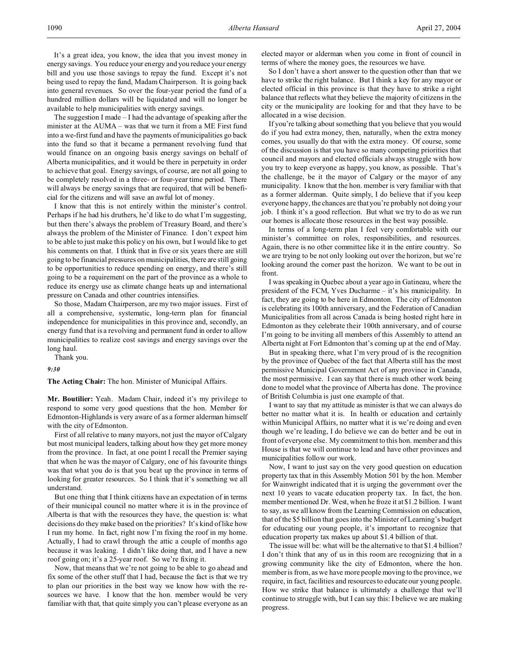It's a great idea, you know, the idea that you invest money in energy savings. You reduce your energy and you reduce your energy bill and you use those savings to repay the fund. Except it's not being used to repay the fund, Madam Chairperson. It is going back into general revenues. So over the four-year period the fund of a hundred million dollars will be liquidated and will no longer be available to help municipalities with energy savings.

The suggestion I made – I had the advantage of speaking after the minister at the AUMA – was that we turn it from a ME First fund into a we-first fund and have the payments of municipalities go back into the fund so that it became a permanent revolving fund that would finance on an ongoing basis energy savings on behalf of Alberta municipalities, and it would be there in perpetuity in order to achieve that goal. Energy savings, of course, are not all going to be completely resolved in a three- or four-year time period. There will always be energy savings that are required, that will be beneficial for the citizens and will save an awful lot of money.

I know that this is not entirely within the minister's control. Perhaps if he had his druthers, he'd like to do what I'm suggesting, but then there's always the problem of Treasury Board, and there's always the problem of the Minister of Finance. I don't expect him to be able to just make this policy on his own, but I would like to get his comments on that. I think that in five or six years there are still going to be financial pressures on municipalities, there are still going to be opportunities to reduce spending on energy, and there's still going to be a requirement on the part of the province as a whole to reduce its energy use as climate change heats up and international pressure on Canada and other countries intensifies.

So those, Madam Chairperson, are my two major issues. First of all a comprehensive, systematic, long-term plan for financial independence for municipalities in this province and, secondly, an energy fund that is a revolving and permanent fund in order to allow municipalities to realize cost savings and energy savings over the long haul.

Thank you.

*9:30*

**The Acting Chair:** The hon. Minister of Municipal Affairs.

**Mr. Boutilier:** Yeah. Madam Chair, indeed it's my privilege to respond to some very good questions that the hon. Member for Edmonton-Highlands is very aware of as a former alderman himself with the city of Edmonton.

First of all relative to many mayors, not just the mayor of Calgary but most municipal leaders, talking about how they get more money from the province. In fact, at one point I recall the Premier saying that when he was the mayor of Calgary, one of his favourite things was that what you do is that you beat up the province in terms of looking for greater resources. So I think that it's something we all understand.

But one thing that I think citizens have an expectation of in terms of their municipal council no matter where it is in the province of Alberta is that with the resources they have, the question is: what decisions do they make based on the priorities? It's kind of like how I run my home. In fact, right now I'm fixing the roof in my home. Actually, I had to crawl through the attic a couple of months ago because it was leaking. I didn't like doing that, and I have a new roof going on; it's a 25-year roof. So we're fixing it.

Now, that means that we're not going to be able to go ahead and fix some of the other stuff that I had, because the fact is that we try to plan our priorities in the best way we know how with the resources we have. I know that the hon. member would be very familiar with that, that quite simply you can't please everyone as an

elected mayor or alderman when you come in front of council in terms of where the money goes, the resources we have.

So I don't have a short answer to the question other than that we have to strike the right balance. But I think a key for any mayor or elected official in this province is that they have to strike a right balance that reflects what they believe the majority of citizens in the city or the municipality are looking for and that they have to be allocated in a wise decision.

If you're talking about something that you believe that you would do if you had extra money, then, naturally, when the extra money comes, you usually do that with the extra money. Of course, some of the discussion is that you have so many competing priorities that council and mayors and elected officials always struggle with how you try to keep everyone as happy, you know, as possible. That's the challenge, be it the mayor of Calgary or the mayor of any municipality. I know that the hon. member is very familiar with that as a former alderman. Quite simply, I do believe that if you keep everyone happy, the chances are that you're probably not doing your job. I think it's a good reflection. But what we try to do as we run our homes is allocate those resources in the best way possible.

In terms of a long-term plan I feel very comfortable with our minister's committee on roles, responsibilities, and resources. Again, there is no other committee like it in the entire country. So we are trying to be not only looking out over the horizon, but we're looking around the corner past the horizon. We want to be out in front.

I was speaking in Quebec about a year ago in Gatineau, where the president of the FCM, Yves Ducharme – it's his municipality. In fact, they are going to be here in Edmonton. The city of Edmonton is celebrating its 100th anniversary, and the Federation of Canadian Municipalities from all across Canada is being hosted right here in Edmonton as they celebrate their 100th anniversary, and of course I'm going to be inviting all members of this Assembly to attend an Alberta night at Fort Edmonton that's coming up at the end of May.

But in speaking there, what I'm very proud of is the recognition by the province of Quebec of the fact that Alberta still has the most permissive Municipal Government Act of any province in Canada, the most permissive. I can say that there is much other work being done to model what the province of Alberta has done. The province of British Columbia is just one example of that.

I want to say that my attitude as minister is that we can always do better no matter what it is. In health or education and certainly within Municipal Affairs, no matter what it is we're doing and even though we're leading, I do believe we can do better and be out in front of everyone else. My commitment to this hon. member and this House is that we will continue to lead and have other provinces and municipalities follow our work.

Now, I want to just say on the very good question on education property tax that in this Assembly Motion 501 by the hon. Member for Wainwright indicated that it is urging the government over the next 10 years to vacate education property tax. In fact, the hon. member mentioned Dr. West, when he froze it at \$1.2 billion. I want to say, as we all know from the Learning Commission on education, that of the \$5 billion that goes into the Minister of Learning's budget for educating our young people, it's important to recognize that education property tax makes up about \$1.4 billion of that.

The issue will be: what will be the alternative to that \$1.4 billion? I don't think that any of us in this room are recognizing that in a growing community like the city of Edmonton, where the hon. member is from, as we have more people moving to the province, we require, in fact, facilities and resources to educate our young people. How we strike that balance is ultimately a challenge that we'll continue to struggle with, but I can say this: I believe we are making progress.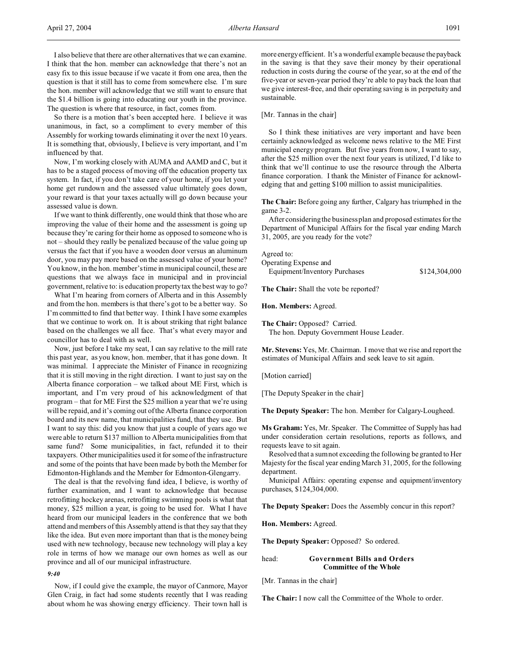I also believe that there are other alternatives that we can examine. I think that the hon. member can acknowledge that there's not an easy fix to this issue because if we vacate it from one area, then the question is that it still has to come from somewhere else. I'm sure the hon. member will acknowledge that we still want to ensure that the \$1.4 billion is going into educating our youth in the province. The question is where that resource, in fact, comes from.

So there is a motion that's been accepted here. I believe it was unanimous, in fact, so a compliment to every member of this Assembly for working towards eliminating it over the next 10 years. It is something that, obviously, I believe is very important, and I'm influenced by that.

Now, I'm working closely with AUMA and AAMD and C, but it has to be a staged process of moving off the education property tax system. In fact, if you don't take care of your home, if you let your home get rundown and the assessed value ultimately goes down, your reward is that your taxes actually will go down because your assessed value is down.

If we want to think differently, one would think that those who are improving the value of their home and the assessment is going up because they're caring for their home as opposed to someone who is not – should they really be penalized because of the value going up versus the fact that if you have a wooden door versus an aluminum door, you may pay more based on the assessed value of your home? You know, in the hon. member's time in municipal council, these are questions that we always face in municipal and in provincial government, relative to: is education property tax the best way to go?

What I'm hearing from corners of Alberta and in this Assembly and from the hon. members is that there's got to be a better way. So I'm committed to find that better way. I think I have some examples that we continue to work on. It is about striking that right balance based on the challenges we all face. That's what every mayor and councillor has to deal with as well.

Now, just before I take my seat, I can say relative to the mill rate this past year, as you know, hon. member, that it has gone down. It was minimal. I appreciate the Minister of Finance in recognizing that it is still moving in the right direction. I want to just say on the Alberta finance corporation – we talked about ME First, which is important, and I'm very proud of his acknowledgment of that program – that for ME First the \$25 million a year that we're using will be repaid, and it's coming out of the Alberta finance corporation board and its new name, that municipalities fund, that they use. But I want to say this: did you know that just a couple of years ago we were able to return \$137 million to Alberta municipalities from that same fund? Some municipalities, in fact, refunded it to their taxpayers. Other municipalities used it for some of the infrastructure and some of the points that have been made by both the Member for Edmonton-Highlands and the Member for Edmonton-Glengarry.

The deal is that the revolving fund idea, I believe, is worthy of further examination, and I want to acknowledge that because retrofitting hockey arenas, retrofitting swimming pools is what that money, \$25 million a year, is going to be used for. What I have heard from our municipal leaders in the conference that we both attend and members of this Assembly attend is that they say that they like the idea. But even more important than that is the money being used with new technology, because new technology will play a key role in terms of how we manage our own homes as well as our province and all of our municipal infrastructure.

*9:40*

Now, if I could give the example, the mayor of Canmore, Mayor Glen Craig, in fact had some students recently that I was reading about whom he was showing energy efficiency. Their town hall is

more energy efficient. It's a wonderful example because the payback in the saving is that they save their money by their operational reduction in costs during the course of the year, so at the end of the five-year or seven-year period they're able to pay back the loan that we give interest-free, and their operating saving is in perpetuity and sustainable.

[Mr. Tannas in the chair]

So I think these initiatives are very important and have been certainly acknowledged as welcome news relative to the ME First municipal energy program. But five years from now, I want to say, after the \$25 million over the next four years is utilized, I'd like to think that we'll continue to use the resource through the Alberta finance corporation. I thank the Minister of Finance for acknowledging that and getting \$100 million to assist municipalities.

**The Chair:** Before going any further, Calgary has triumphed in the game 3-2.

After considering the business plan and proposed estimates for the Department of Municipal Affairs for the fiscal year ending March 31, 2005, are you ready for the vote?

Agreed to:

| Operating Expense and         |               |
|-------------------------------|---------------|
| Equipment/Inventory Purchases | \$124,304,000 |

**The Chair:** Shall the vote be reported?

**Hon. Members:** Agreed.

**The Chair:** Opposed? Carried.

The hon. Deputy Government House Leader.

**Mr. Stevens:** Yes, Mr. Chairman. I move that we rise and report the estimates of Municipal Affairs and seek leave to sit again.

[Motion carried]

[The Deputy Speaker in the chair]

**The Deputy Speaker:** The hon. Member for Calgary-Lougheed.

**Ms Graham:** Yes, Mr. Speaker. The Committee of Supply has had under consideration certain resolutions, reports as follows, and requests leave to sit again.

Resolved that a sum not exceeding the following be granted to Her Majesty for the fiscal year ending March 31, 2005, for the following department.

Municipal Affairs: operating expense and equipment/inventory purchases, \$124,304,000.

**The Deputy Speaker:** Does the Assembly concur in this report?

**Hon. Members:** Agreed.

**The Deputy Speaker:** Opposed? So ordered.

head: **Government Bills and Orders Committee of the Whole**

[Mr. Tannas in the chair]

**The Chair:** I now call the Committee of the Whole to order.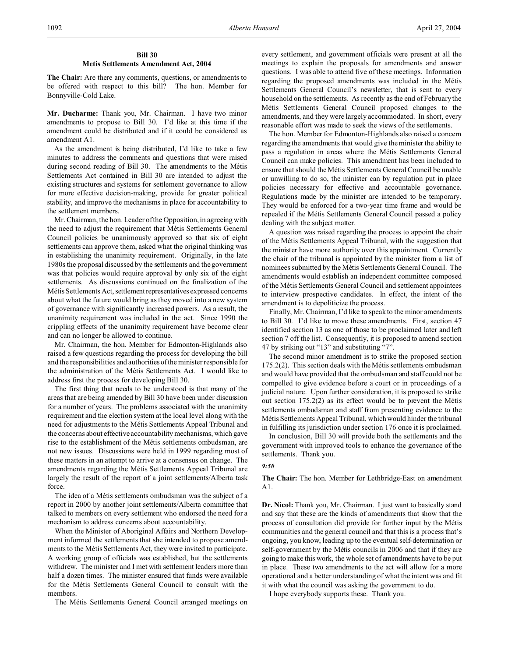# **Bill 30 Metis Settlements Amendment Act, 2004**

**The Chair:** Are there any comments, questions, or amendments to be offered with respect to this bill? The hon. Member for Bonnyville-Cold Lake.

**Mr. Ducharme:** Thank you, Mr. Chairman. I have two minor amendments to propose to Bill 30. I'd like at this time if the amendment could be distributed and if it could be considered as amendment A1.

As the amendment is being distributed, I'd like to take a few minutes to address the comments and questions that were raised during second reading of Bill 30. The amendments to the Métis Settlements Act contained in Bill 30 are intended to adjust the existing structures and systems for settlement governance to allow for more effective decision-making, provide for greater political stability, and improve the mechanisms in place for accountability to the settlement members.

Mr. Chairman, the hon. Leader of the Opposition, in agreeing with the need to adjust the requirement that Métis Settlements General Council policies be unanimously approved so that six of eight settlements can approve them, asked what the original thinking was in establishing the unanimity requirement. Originally, in the late 1980s the proposal discussed by the settlements and the government was that policies would require approval by only six of the eight settlements. As discussions continued on the finalization of the Métis Settlements Act, settlement representatives expressed concerns about what the future would bring as they moved into a new system of governance with significantly increased powers. As a result, the unanimity requirement was included in the act. Since 1990 the crippling effects of the unanimity requirement have become clear and can no longer be allowed to continue.

Mr. Chairman, the hon. Member for Edmonton-Highlands also raised a few questions regarding the process for developing the bill and the responsibilities and authorities of the minister responsible for the administration of the Métis Settlements Act. I would like to address first the process for developing Bill 30.

The first thing that needs to be understood is that many of the areas that are being amended by Bill 30 have been under discussion for a number of years. The problems associated with the unanimity requirement and the election system at the local level along with the need for adjustments to the Métis Settlements Appeal Tribunal and the concerns about effective accountability mechanisms, which gave rise to the establishment of the Métis settlements ombudsman, are not new issues. Discussions were held in 1999 regarding most of these matters in an attempt to arrive at a consensus on change. The amendments regarding the Métis Settlements Appeal Tribunal are largely the result of the report of a joint settlements/Alberta task force.

The idea of a Métis settlements ombudsman was the subject of a report in 2000 by another joint settlements/Alberta committee that talked to members on every settlement who endorsed the need for a mechanism to address concerns about accountability.

When the Minister of Aboriginal Affairs and Northern Development informed the settlements that she intended to propose amendments to the Métis Settlements Act, they were invited to participate. A working group of officials was established, but the settlements withdrew. The minister and I met with settlement leaders more than half a dozen times. The minister ensured that funds were available for the Métis Settlements General Council to consult with the members.

The Métis Settlements General Council arranged meetings on

every settlement, and government officials were present at all the meetings to explain the proposals for amendments and answer questions. I was able to attend five of these meetings. Information regarding the proposed amendments was included in the Métis Settlements General Council's newsletter, that is sent to every household on the settlements. As recently as the end of February the Métis Settlements General Council proposed changes to the amendments, and they were largely accommodated. In short, every reasonable effort was made to seek the views of the settlements.

The hon. Member for Edmonton-Highlands also raised a concern regarding the amendments that would give the minister the ability to pass a regulation in areas where the Métis Settlements General Council can make policies. This amendment has been included to ensure that should the Métis Settlements General Council be unable or unwilling to do so, the minister can by regulation put in place policies necessary for effective and accountable governance. Regulations made by the minister are intended to be temporary. They would be enforced for a two-year time frame and would be repealed if the Métis Settlements General Council passed a policy dealing with the subject matter.

A question was raised regarding the process to appoint the chair of the Métis Settlements Appeal Tribunal, with the suggestion that the minister have more authority over this appointment. Currently the chair of the tribunal is appointed by the minister from a list of nominees submitted by the Métis Settlements General Council. The amendments would establish an independent committee composed of the Métis Settlements General Council and settlement appointees to interview prospective candidates. In effect, the intent of the amendment is to depoliticize the process.

Finally, Mr. Chairman, I'd like to speak to the minor amendments to Bill 30. I'd like to move these amendments. First, section 47 identified section 13 as one of those to be proclaimed later and left section 7 off the list. Consequently, it is proposed to amend section 47 by striking out "13" and substituting "7".

The second minor amendment is to strike the proposed section 175.2(2). This section deals with the Métis settlements ombudsman and would have provided that the ombudsman and staff could not be compelled to give evidence before a court or in proceedings of a judicial nature. Upon further consideration, it is proposed to strike out section 175.2(2) as its effect would be to prevent the Métis settlements ombudsman and staff from presenting evidence to the Métis Settlements Appeal Tribunal, which would hinder the tribunal in fulfilling its jurisdiction under section 176 once it is proclaimed.

In conclusion, Bill 30 will provide both the settlements and the government with improved tools to enhance the governance of the settlements. Thank you.

#### *9:50*

## **The Chair:** The hon. Member for Lethbridge-East on amendment A1.

**Dr. Nicol:** Thank you, Mr. Chairman. I just want to basically stand and say that these are the kinds of amendments that show that the process of consultation did provide for further input by the Métis communities and the general council and that this is a process that's ongoing, you know, leading up to the eventual self-determination or self-government by the Métis councils in 2006 and that if they are going to make this work, the whole set of amendments have to be put in place. These two amendments to the act will allow for a more operational and a better understanding of what the intent was and fit it with what the council was asking the government to do.

I hope everybody supports these. Thank you.